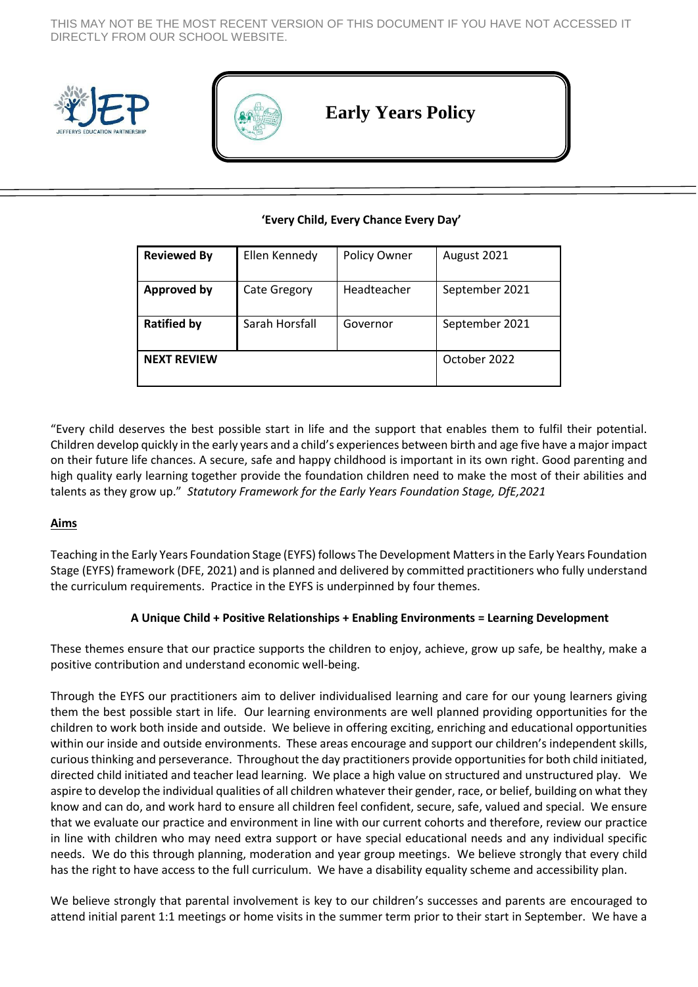THIS MAY NOT BE THE MOST RECENT VERSION OF THIS DOCUMENT IF YOU HAVE NOT ACCESSED IT DIRECTLY FROM OUR SCHOOL WEBSITE.





# **Early Years Policy**

## **'Every Child, Every Chance Every Day'**

| <b>Reviewed By</b> | Ellen Kennedy       | Policy Owner | August 2021    |
|--------------------|---------------------|--------------|----------------|
| <b>Approved by</b> | <b>Cate Gregory</b> | Headteacher  | September 2021 |
| <b>Ratified by</b> | Sarah Horsfall      | Governor     | September 2021 |
| <b>NEXT REVIEW</b> |                     |              | October 2022   |

"Every child deserves the best possible start in life and the support that enables them to fulfil their potential. Children develop quickly in the early years and a child's experiences between birth and age five have a major impact on their future life chances. A secure, safe and happy childhood is important in its own right. Good parenting and high quality early learning together provide the foundation children need to make the most of their abilities and talents as they grow up." *Statutory Framework for the Early Years Foundation Stage, DfE,2021*

# **Aims**

Teaching in the Early Years Foundation Stage (EYFS) follows The Development Matters in the Early Years Foundation Stage (EYFS) framework (DFE, 2021) and is planned and delivered by committed practitioners who fully understand the curriculum requirements. Practice in the EYFS is underpinned by four themes.

#### **A Unique Child + Positive Relationships + Enabling Environments = Learning Development**

These themes ensure that our practice supports the children to enjoy, achieve, grow up safe, be healthy, make a positive contribution and understand economic well-being.

Through the EYFS our practitioners aim to deliver individualised learning and care for our young learners giving them the best possible start in life. Our learning environments are well planned providing opportunities for the children to work both inside and outside. We believe in offering exciting, enriching and educational opportunities within our inside and outside environments. These areas encourage and support our children's independent skills, curious thinking and perseverance. Throughout the day practitioners provide opportunities for both child initiated, directed child initiated and teacher lead learning. We place a high value on structured and unstructured play. We aspire to develop the individual qualities of all children whatever their gender, race, or belief, building on what they know and can do, and work hard to ensure all children feel confident, secure, safe, valued and special. We ensure that we evaluate our practice and environment in line with our current cohorts and therefore, review our practice in line with children who may need extra support or have special educational needs and any individual specific needs. We do this through planning, moderation and year group meetings. We believe strongly that every child has the right to have access to the full curriculum. We have a disability equality scheme and accessibility plan.

We believe strongly that parental involvement is key to our children's successes and parents are encouraged to attend initial parent 1:1 meetings or home visits in the summer term prior to their start in September. We have a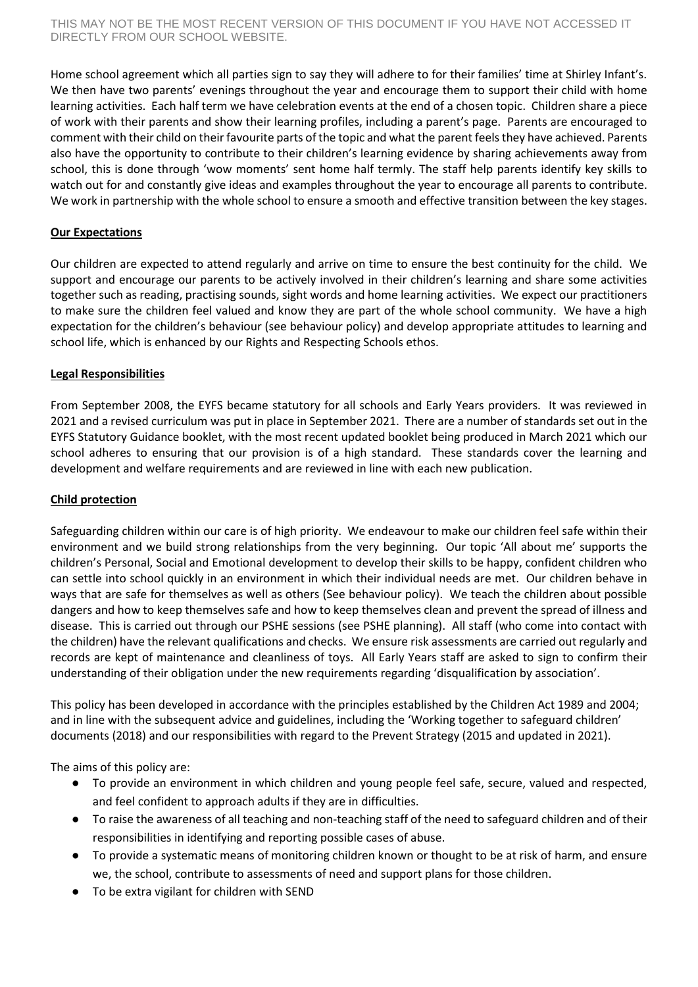Home school agreement which all parties sign to say they will adhere to for their families' time at Shirley Infant's. We then have two parents' evenings throughout the year and encourage them to support their child with home learning activities. Each half term we have celebration events at the end of a chosen topic. Children share a piece of work with their parents and show their learning profiles, including a parent's page. Parents are encouraged to comment with their child on their favourite parts of the topic and what the parent feels they have achieved. Parents also have the opportunity to contribute to their children's learning evidence by sharing achievements away from school, this is done through 'wow moments' sent home half termly. The staff help parents identify key skills to watch out for and constantly give ideas and examples throughout the year to encourage all parents to contribute. We work in partnership with the whole school to ensure a smooth and effective transition between the key stages.

## **Our Expectations**

Our children are expected to attend regularly and arrive on time to ensure the best continuity for the child. We support and encourage our parents to be actively involved in their children's learning and share some activities together such as reading, practising sounds, sight words and home learning activities. We expect our practitioners to make sure the children feel valued and know they are part of the whole school community. We have a high expectation for the children's behaviour (see behaviour policy) and develop appropriate attitudes to learning and school life, which is enhanced by our Rights and Respecting Schools ethos.

## **Legal Responsibilities**

From September 2008, the EYFS became statutory for all schools and Early Years providers. It was reviewed in 2021 and a revised curriculum was put in place in September 2021. There are a number of standards set out in the EYFS Statutory Guidance booklet, with the most recent updated booklet being produced in March 2021 which our school adheres to ensuring that our provision is of a high standard. These standards cover the learning and development and welfare requirements and are reviewed in line with each new publication.

#### **Child protection**

Safeguarding children within our care is of high priority. We endeavour to make our children feel safe within their environment and we build strong relationships from the very beginning. Our topic 'All about me' supports the children's Personal, Social and Emotional development to develop their skills to be happy, confident children who can settle into school quickly in an environment in which their individual needs are met. Our children behave in ways that are safe for themselves as well as others (See behaviour policy). We teach the children about possible dangers and how to keep themselves safe and how to keep themselves clean and prevent the spread of illness and disease. This is carried out through our PSHE sessions (see PSHE planning). All staff (who come into contact with the children) have the relevant qualifications and checks. We ensure risk assessments are carried out regularly and records are kept of maintenance and cleanliness of toys. All Early Years staff are asked to sign to confirm their understanding of their obligation under the new requirements regarding 'disqualification by association'.

This policy has been developed in accordance with the principles established by the Children Act 1989 and 2004; and in line with the subsequent advice and guidelines, including the 'Working together to safeguard children' documents (2018) and our responsibilities with regard to the Prevent Strategy (2015 and updated in 2021).

The aims of this policy are:

- To provide an environment in which children and young people feel safe, secure, valued and respected, and feel confident to approach adults if they are in difficulties.
- To raise the awareness of all teaching and non-teaching staff of the need to safeguard children and of their responsibilities in identifying and reporting possible cases of abuse.
- To provide a systematic means of monitoring children known or thought to be at risk of harm, and ensure we, the school, contribute to assessments of need and support plans for those children.
- To be extra vigilant for children with SEND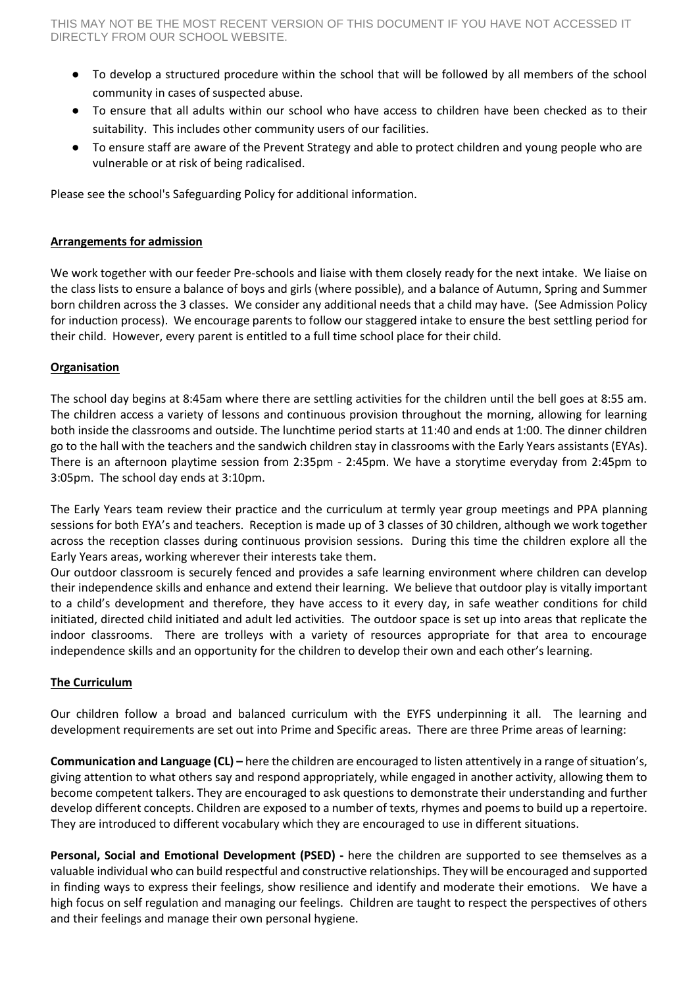- To develop a structured procedure within the school that will be followed by all members of the school community in cases of suspected abuse.
- To ensure that all adults within our school who have access to children have been checked as to their suitability. This includes other community users of our facilities.
- To ensure staff are aware of the Prevent Strategy and able to protect children and young people who are vulnerable or at risk of being radicalised.

Please see the school's Safeguarding Policy for additional information.

## **Arrangements for admission**

We work together with our feeder Pre-schools and liaise with them closely ready for the next intake. We liaise on the class lists to ensure a balance of boys and girls (where possible), and a balance of Autumn, Spring and Summer born children across the 3 classes. We consider any additional needs that a child may have. (See Admission Policy for induction process). We encourage parents to follow our staggered intake to ensure the best settling period for their child. However, every parent is entitled to a full time school place for their child.

## **Organisation**

The school day begins at 8:45am where there are settling activities for the children until the bell goes at 8:55 am. The children access a variety of lessons and continuous provision throughout the morning, allowing for learning both inside the classrooms and outside. The lunchtime period starts at 11:40 and ends at 1:00. The dinner children go to the hall with the teachers and the sandwich children stay in classrooms with the Early Years assistants (EYAs). There is an afternoon playtime session from 2:35pm - 2:45pm. We have a storytime everyday from 2:45pm to 3:05pm. The school day ends at 3:10pm.

The Early Years team review their practice and the curriculum at termly year group meetings and PPA planning sessions for both EYA's and teachers. Reception is made up of 3 classes of 30 children, although we work together across the reception classes during continuous provision sessions. During this time the children explore all the Early Years areas, working wherever their interests take them.

Our outdoor classroom is securely fenced and provides a safe learning environment where children can develop their independence skills and enhance and extend their learning. We believe that outdoor play is vitally important to a child's development and therefore, they have access to it every day, in safe weather conditions for child initiated, directed child initiated and adult led activities. The outdoor space is set up into areas that replicate the indoor classrooms. There are trolleys with a variety of resources appropriate for that area to encourage independence skills and an opportunity for the children to develop their own and each other's learning.

#### **The Curriculum**

Our children follow a broad and balanced curriculum with the EYFS underpinning it all. The learning and development requirements are set out into Prime and Specific areas. There are three Prime areas of learning:

**Communication and Language (CL) –** here the children are encouraged to listen attentively in a range of situation's, giving attention to what others say and respond appropriately, while engaged in another activity, allowing them to become competent talkers. They are encouraged to ask questions to demonstrate their understanding and further develop different concepts. Children are exposed to a number of texts, rhymes and poems to build up a repertoire. They are introduced to different vocabulary which they are encouraged to use in different situations.

**Personal, Social and Emotional Development (PSED) -** here the children are supported to see themselves as a valuable individual who can build respectful and constructive relationships. They will be encouraged and supported in finding ways to express their feelings, show resilience and identify and moderate their emotions. We have a high focus on self regulation and managing our feelings. Children are taught to respect the perspectives of others and their feelings and manage their own personal hygiene.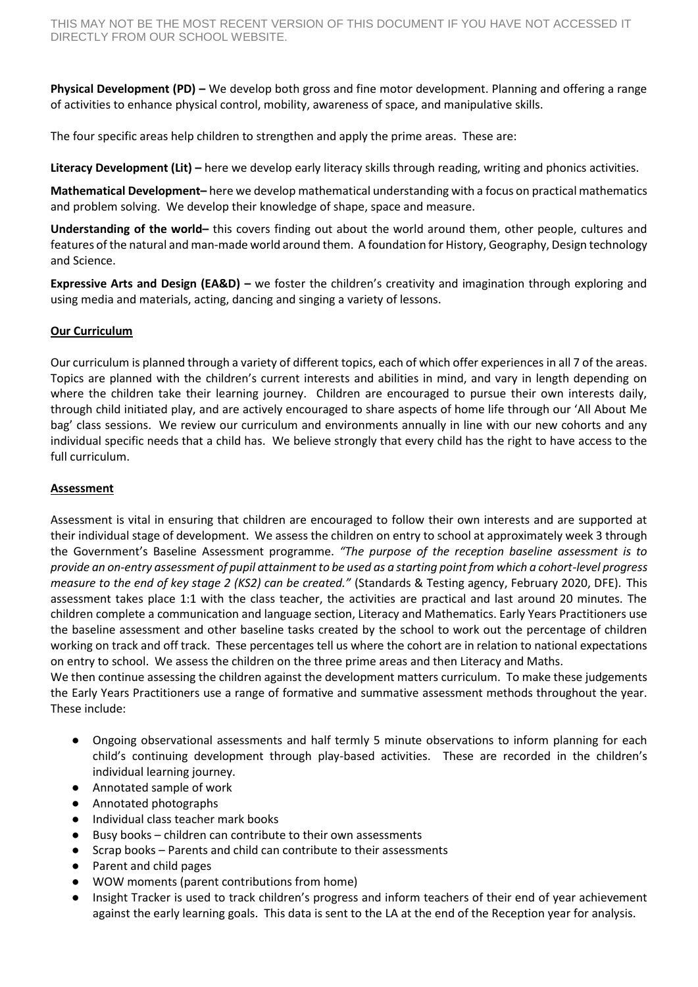**Physical Development (PD) –** We develop both gross and fine motor development. Planning and offering a range of activities to enhance physical control, mobility, awareness of space, and manipulative skills.

The four specific areas help children to strengthen and apply the prime areas. These are:

**Literacy Development (Lit) –** here we develop early literacy skills through reading, writing and phonics activities.

**Mathematical Development–** here we develop mathematical understanding with a focus on practical mathematics and problem solving. We develop their knowledge of shape, space and measure.

**Understanding of the world–** this covers finding out about the world around them, other people, cultures and features of the natural and man-made world around them. A foundation for History, Geography, Design technology and Science.

**Expressive Arts and Design (EA&D) –** we foster the children's creativity and imagination through exploring and using media and materials, acting, dancing and singing a variety of lessons.

## **Our Curriculum**

Our curriculum is planned through a variety of different topics, each of which offer experiences in all 7 of the areas. Topics are planned with the children's current interests and abilities in mind, and vary in length depending on where the children take their learning journey. Children are encouraged to pursue their own interests daily, through child initiated play, and are actively encouraged to share aspects of home life through our 'All About Me bag' class sessions. We review our curriculum and environments annually in line with our new cohorts and any individual specific needs that a child has. We believe strongly that every child has the right to have access to the full curriculum.

#### **Assessment**

Assessment is vital in ensuring that children are encouraged to follow their own interests and are supported at their individual stage of development. We assess the children on entry to school at approximately week 3 through the Government's Baseline Assessment programme. *"The purpose of the reception baseline assessment is to provide an on-entry assessment of pupil attainment to be used as a starting point from which a cohort-level progress measure to the end of key stage 2 (KS2) can be created."* (Standards & Testing agency, February 2020, DFE). This assessment takes place 1:1 with the class teacher, the activities are practical and last around 20 minutes. The children complete a communication and language section, Literacy and Mathematics. Early Years Practitioners use the baseline assessment and other baseline tasks created by the school to work out the percentage of children working on track and off track. These percentages tell us where the cohort are in relation to national expectations on entry to school. We assess the children on the three prime areas and then Literacy and Maths.

We then continue assessing the children against the development matters curriculum. To make these judgements the Early Years Practitioners use a range of formative and summative assessment methods throughout the year. These include:

- Ongoing observational assessments and half termly 5 minute observations to inform planning for each child's continuing development through play-based activities. These are recorded in the children's individual learning journey.
- Annotated sample of work
- Annotated photographs
- Individual class teacher mark books
- Busy books children can contribute to their own assessments
- Scrap books Parents and child can contribute to their assessments
- Parent and child pages
- WOW moments (parent contributions from home)
- Insight Tracker is used to track children's progress and inform teachers of their end of year achievement against the early learning goals. This data is sent to the LA at the end of the Reception year for analysis.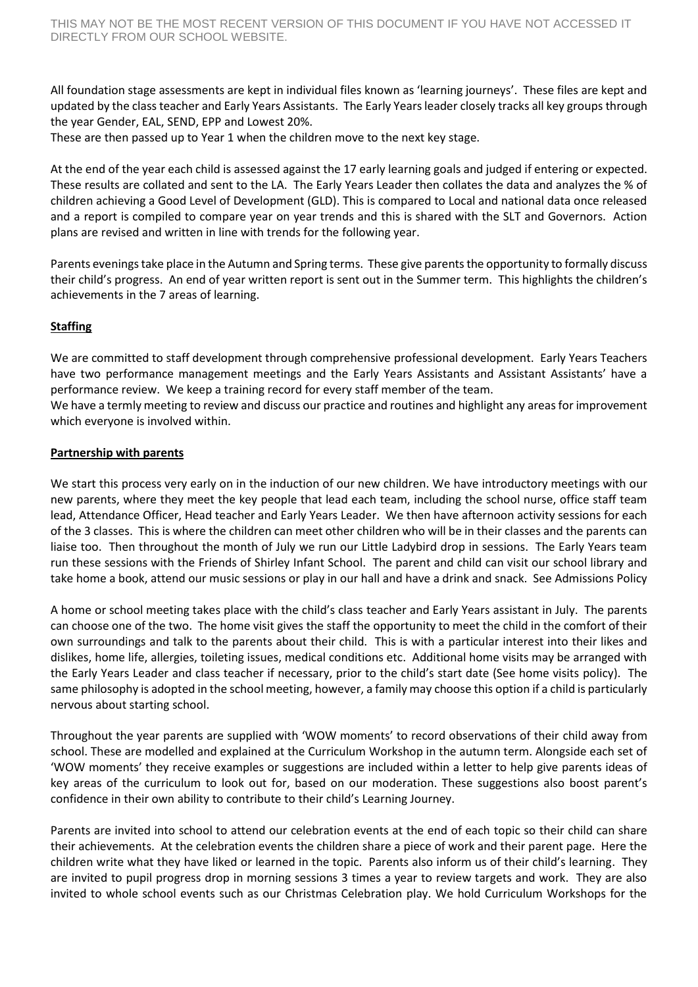All foundation stage assessments are kept in individual files known as 'learning journeys'. These files are kept and updated by the class teacher and Early Years Assistants. The Early Years leader closely tracks all key groups through the year Gender, EAL, SEND, EPP and Lowest 20%.

These are then passed up to Year 1 when the children move to the next key stage.

At the end of the year each child is assessed against the 17 early learning goals and judged if entering or expected. These results are collated and sent to the LA. The Early Years Leader then collates the data and analyzes the % of children achieving a Good Level of Development (GLD). This is compared to Local and national data once released and a report is compiled to compare year on year trends and this is shared with the SLT and Governors. Action plans are revised and written in line with trends for the following year.

Parents evenings take place in the Autumn and Spring terms. These give parents the opportunity to formally discuss their child's progress. An end of year written report is sent out in the Summer term. This highlights the children's achievements in the 7 areas of learning.

## **Staffing**

We are committed to staff development through comprehensive professional development. Early Years Teachers have two performance management meetings and the Early Years Assistants and Assistant Assistants' have a performance review. We keep a training record for every staff member of the team.

We have a termly meeting to review and discuss our practice and routines and highlight any areas for improvement which everyone is involved within.

## **Partnership with parents**

We start this process very early on in the induction of our new children. We have introductory meetings with our new parents, where they meet the key people that lead each team, including the school nurse, office staff team lead, Attendance Officer, Head teacher and Early Years Leader. We then have afternoon activity sessions for each of the 3 classes. This is where the children can meet other children who will be in their classes and the parents can liaise too. Then throughout the month of July we run our Little Ladybird drop in sessions. The Early Years team run these sessions with the Friends of Shirley Infant School. The parent and child can visit our school library and take home a book, attend our music sessions or play in our hall and have a drink and snack. See Admissions Policy

A home or school meeting takes place with the child's class teacher and Early Years assistant in July. The parents can choose one of the two. The home visit gives the staff the opportunity to meet the child in the comfort of their own surroundings and talk to the parents about their child. This is with a particular interest into their likes and dislikes, home life, allergies, toileting issues, medical conditions etc. Additional home visits may be arranged with the Early Years Leader and class teacher if necessary, prior to the child's start date (See home visits policy). The same philosophy is adopted in the school meeting, however, a family may choose this option if a child is particularly nervous about starting school.

Throughout the year parents are supplied with 'WOW moments' to record observations of their child away from school. These are modelled and explained at the Curriculum Workshop in the autumn term. Alongside each set of 'WOW moments' they receive examples or suggestions are included within a letter to help give parents ideas of key areas of the curriculum to look out for, based on our moderation. These suggestions also boost parent's confidence in their own ability to contribute to their child's Learning Journey.

Parents are invited into school to attend our celebration events at the end of each topic so their child can share their achievements. At the celebration events the children share a piece of work and their parent page. Here the children write what they have liked or learned in the topic. Parents also inform us of their child's learning. They are invited to pupil progress drop in morning sessions 3 times a year to review targets and work. They are also invited to whole school events such as our Christmas Celebration play. We hold Curriculum Workshops for the